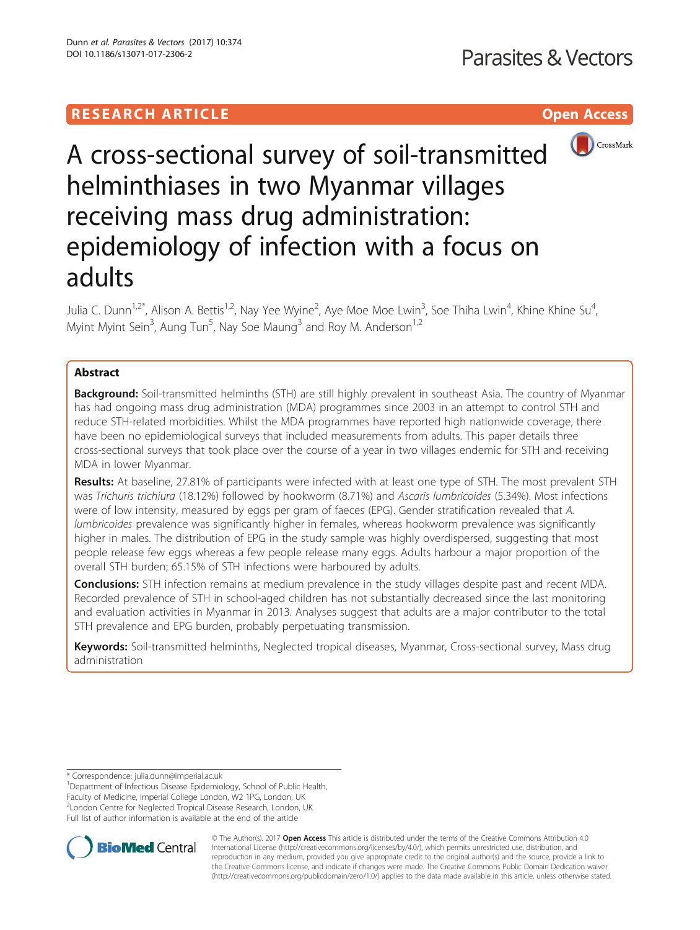## **RESEARCH ARTICLE Example 2018 12:00 Department of the Contract Open Access**



# A cross-sectional survey of soil-transmitted helminthiases in two Myanmar villages receiving mass drug administration: epidemiology of infection with a focus on adults

Julia C. Dunn<sup>1,2\*</sup>, Alison A. Bettis<sup>1,2</sup>, Nay Yee Wyine<sup>2</sup>, Aye Moe Moe Lwin<sup>3</sup>, Soe Thiha Lwin<sup>4</sup>, Khine Khine Su<sup>4</sup> , Myint Myint Sein<sup>3</sup>, Aung Tun<sup>5</sup>, Nay Soe Maung<sup>3</sup> and Roy M. Anderson<sup>1,2</sup>

## Abstract

**Background:** Soil-transmitted helminths (STH) are still highly prevalent in southeast Asia. The country of Myanmar has had ongoing mass drug administration (MDA) programmes since 2003 in an attempt to control STH and reduce STH-related morbidities. Whilst the MDA programmes have reported high nationwide coverage, there have been no epidemiological surveys that included measurements from adults. This paper details three cross-sectional surveys that took place over the course of a year in two villages endemic for STH and receiving MDA in lower Myanmar.

Results: At baseline, 27.81% of participants were infected with at least one type of STH. The most prevalent STH was Trichuris trichiura (18.12%) followed by hookworm (8.71%) and Ascaris lumbricoides (5.34%). Most infections were of low intensity, measured by eggs per gram of faeces (EPG). Gender stratification revealed that A. lumbricoides prevalence was significantly higher in females, whereas hookworm prevalence was significantly higher in males. The distribution of EPG in the study sample was highly overdispersed, suggesting that most people release few eggs whereas a few people release many eggs. Adults harbour a major proportion of the overall STH burden; 65.15% of STH infections were harboured by adults.

Conclusions: STH infection remains at medium prevalence in the study villages despite past and recent MDA. Recorded prevalence of STH in school-aged children has not substantially decreased since the last monitoring and evaluation activities in Myanmar in 2013. Analyses suggest that adults are a major contributor to the total STH prevalence and EPG burden, probably perpetuating transmission.

Keywords: Soil-transmitted helminths, Neglected tropical diseases, Myanmar, Cross-sectional survey, Mass drug administration

\* Correspondence: [julia.dunn@imperial.ac.uk](mailto:julia.dunn@imperial.ac.uk) <sup>1</sup>

<sup>1</sup>Department of Infectious Disease Epidemiology, School of Public Health, Faculty of Medicine, Imperial College London, W2 1PG, London, UK <sup>2</sup> London Centre for Neglected Tropical Disease Research, London, UK Full list of author information is available at the end of the article



© The Author(s). 2017 **Open Access** This article is distributed under the terms of the Creative Commons Attribution 4.0 International License [\(http://creativecommons.org/licenses/by/4.0/](http://creativecommons.org/licenses/by/4.0/)), which permits unrestricted use, distribution, and reproduction in any medium, provided you give appropriate credit to the original author(s) and the source, provide a link to the Creative Commons license, and indicate if changes were made. The Creative Commons Public Domain Dedication waiver [\(http://creativecommons.org/publicdomain/zero/1.0/](http://creativecommons.org/publicdomain/zero/1.0/)) applies to the data made available in this article, unless otherwise stated.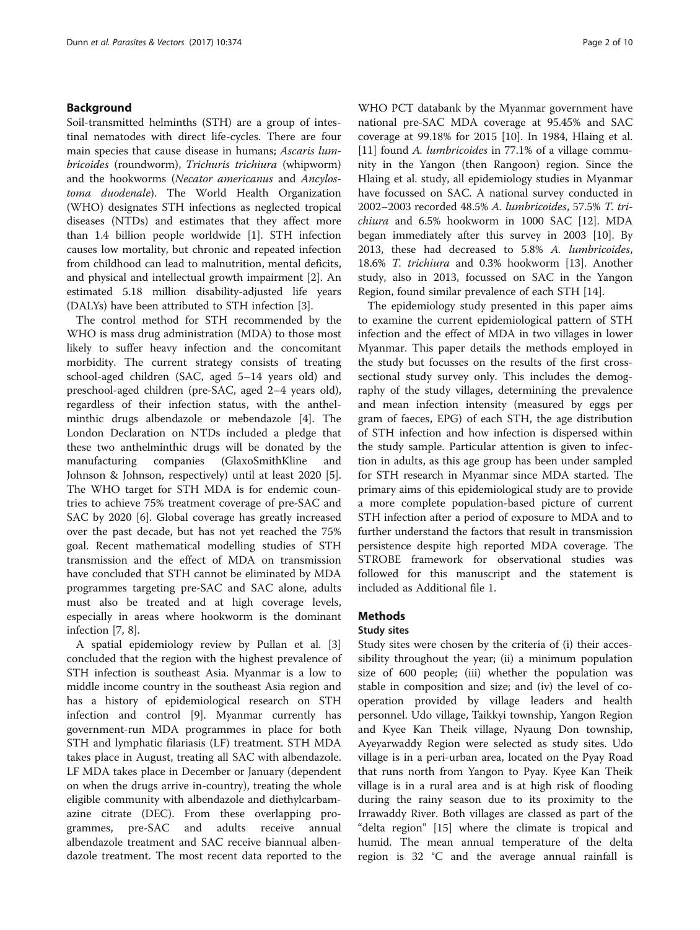## Background

Soil-transmitted helminths (STH) are a group of intestinal nematodes with direct life-cycles. There are four main species that cause disease in humans; Ascaris lumbricoides (roundworm), Trichuris trichiura (whipworm) and the hookworms (Necator americanus and Ancylostoma duodenale). The World Health Organization (WHO) designates STH infections as neglected tropical diseases (NTDs) and estimates that they affect more than 1.4 billion people worldwide [[1\]](#page-9-0). STH infection causes low mortality, but chronic and repeated infection from childhood can lead to malnutrition, mental deficits, and physical and intellectual growth impairment [[2](#page-9-0)]. An estimated 5.18 million disability-adjusted life years (DALYs) have been attributed to STH infection [\[3](#page-9-0)].

The control method for STH recommended by the WHO is mass drug administration (MDA) to those most likely to suffer heavy infection and the concomitant morbidity. The current strategy consists of treating school-aged children (SAC, aged 5–14 years old) and preschool-aged children (pre-SAC, aged 2–4 years old), regardless of their infection status, with the anthelminthic drugs albendazole or mebendazole [\[4](#page-9-0)]. The London Declaration on NTDs included a pledge that these two anthelminthic drugs will be donated by the manufacturing companies (GlaxoSmithKline and Johnson & Johnson, respectively) until at least 2020 [\[5](#page-9-0)]. The WHO target for STH MDA is for endemic countries to achieve 75% treatment coverage of pre-SAC and SAC by 2020 [\[6\]](#page-9-0). Global coverage has greatly increased over the past decade, but has not yet reached the 75% goal. Recent mathematical modelling studies of STH transmission and the effect of MDA on transmission have concluded that STH cannot be eliminated by MDA programmes targeting pre-SAC and SAC alone, adults must also be treated and at high coverage levels, especially in areas where hookworm is the dominant infection [[7, 8\]](#page-9-0).

A spatial epidemiology review by Pullan et al. [\[3](#page-9-0)] concluded that the region with the highest prevalence of STH infection is southeast Asia. Myanmar is a low to middle income country in the southeast Asia region and has a history of epidemiological research on STH infection and control [\[9](#page-9-0)]. Myanmar currently has government-run MDA programmes in place for both STH and lymphatic filariasis (LF) treatment. STH MDA takes place in August, treating all SAC with albendazole. LF MDA takes place in December or January (dependent on when the drugs arrive in-country), treating the whole eligible community with albendazole and diethylcarbamazine citrate (DEC). From these overlapping programmes, pre-SAC and adults receive annual albendazole treatment and SAC receive biannual albendazole treatment. The most recent data reported to the

WHO PCT databank by the Myanmar government have national pre-SAC MDA coverage at 95.45% and SAC coverage at 99.18% for 2015 [[10\]](#page-9-0). In 1984, Hlaing et al. [[11\]](#page-9-0) found A. *lumbricoides* in 77.1% of a village community in the Yangon (then Rangoon) region. Since the Hlaing et al. study, all epidemiology studies in Myanmar have focussed on SAC. A national survey conducted in 2002–2003 recorded 48.5% A. lumbricoides, 57.5% T. trichiura and 6.5% hookworm in 1000 SAC [\[12\]](#page-9-0). MDA began immediately after this survey in 2003 [[10\]](#page-9-0). By 2013, these had decreased to 5.8% A. lumbricoides, 18.6% T. trichiura and 0.3% hookworm [\[13](#page-9-0)]. Another study, also in 2013, focussed on SAC in the Yangon Region, found similar prevalence of each STH [[14](#page-9-0)].

The epidemiology study presented in this paper aims to examine the current epidemiological pattern of STH infection and the effect of MDA in two villages in lower Myanmar. This paper details the methods employed in the study but focusses on the results of the first crosssectional study survey only. This includes the demography of the study villages, determining the prevalence and mean infection intensity (measured by eggs per gram of faeces, EPG) of each STH, the age distribution of STH infection and how infection is dispersed within the study sample. Particular attention is given to infection in adults, as this age group has been under sampled for STH research in Myanmar since MDA started. The primary aims of this epidemiological study are to provide a more complete population-based picture of current STH infection after a period of exposure to MDA and to further understand the factors that result in transmission persistence despite high reported MDA coverage. The STROBE framework for observational studies was followed for this manuscript and the statement is included as Additional file [1](#page-8-0).

## Methods

## Study sites

Study sites were chosen by the criteria of (i) their accessibility throughout the year; (ii) a minimum population size of 600 people; (iii) whether the population was stable in composition and size; and (iv) the level of cooperation provided by village leaders and health personnel. Udo village, Taikkyi township, Yangon Region and Kyee Kan Theik village, Nyaung Don township, Ayeyarwaddy Region were selected as study sites. Udo village is in a peri-urban area, located on the Pyay Road that runs north from Yangon to Pyay. Kyee Kan Theik village is in a rural area and is at high risk of flooding during the rainy season due to its proximity to the Irrawaddy River. Both villages are classed as part of the "delta region" [[15\]](#page-9-0) where the climate is tropical and humid. The mean annual temperature of the delta region is 32 °C and the average annual rainfall is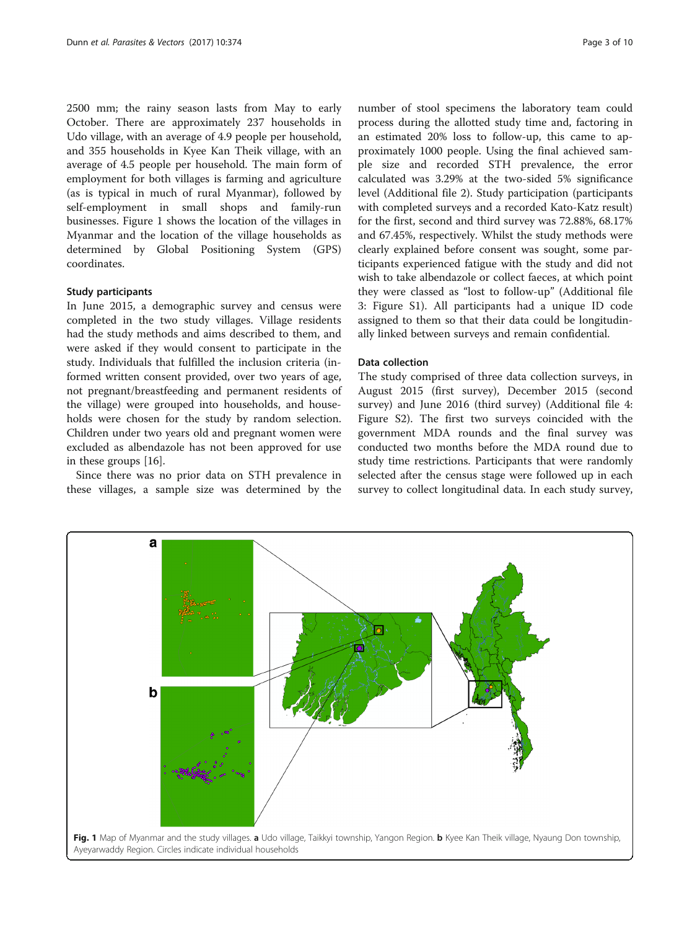2500 mm; the rainy season lasts from May to early October. There are approximately 237 households in Udo village, with an average of 4.9 people per household, and 355 households in Kyee Kan Theik village, with an average of 4.5 people per household. The main form of employment for both villages is farming and agriculture (as is typical in much of rural Myanmar), followed by self-employment in small shops and family-run businesses. Figure 1 shows the location of the villages in Myanmar and the location of the village households as determined by Global Positioning System (GPS) coordinates.

## Study participants

In June 2015, a demographic survey and census were completed in the two study villages. Village residents had the study methods and aims described to them, and were asked if they would consent to participate in the study. Individuals that fulfilled the inclusion criteria (informed written consent provided, over two years of age, not pregnant/breastfeeding and permanent residents of the village) were grouped into households, and households were chosen for the study by random selection. Children under two years old and pregnant women were excluded as albendazole has not been approved for use in these groups [[16](#page-9-0)].

Since there was no prior data on STH prevalence in these villages, a sample size was determined by the

number of stool specimens the laboratory team could process during the allotted study time and, factoring in an estimated 20% loss to follow-up, this came to approximately 1000 people. Using the final achieved sample size and recorded STH prevalence, the error calculated was 3.29% at the two-sided 5% significance level (Additional file [2\)](#page-8-0). Study participation (participants with completed surveys and a recorded Kato-Katz result) for the first, second and third survey was 72.88%, 68.17% and 67.45%, respectively. Whilst the study methods were clearly explained before consent was sought, some participants experienced fatigue with the study and did not wish to take albendazole or collect faeces, at which point they were classed as "lost to follow-up" (Additional file [3:](#page-8-0) Figure S1). All participants had a unique ID code assigned to them so that their data could be longitudinally linked between surveys and remain confidential.

#### Data collection

The study comprised of three data collection surveys, in August 2015 (first survey), December 2015 (second survey) and June 2016 (third survey) (Additional file [4](#page-8-0): Figure S2). The first two surveys coincided with the government MDA rounds and the final survey was conducted two months before the MDA round due to study time restrictions. Participants that were randomly selected after the census stage were followed up in each survey to collect longitudinal data. In each study survey,

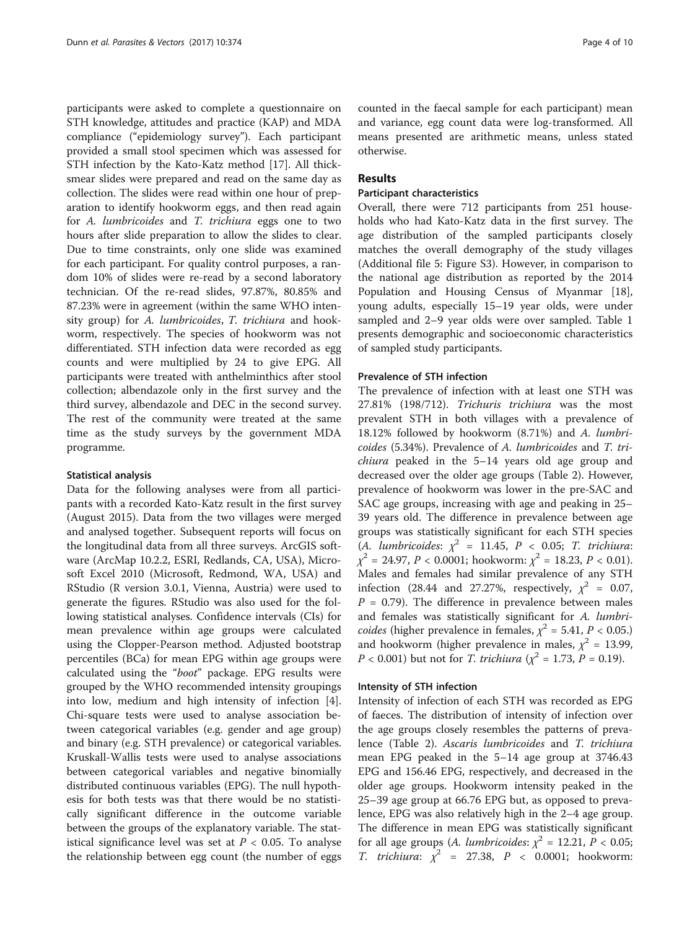participants were asked to complete a questionnaire on STH knowledge, attitudes and practice (KAP) and MDA compliance ("epidemiology survey"). Each participant provided a small stool specimen which was assessed for STH infection by the Kato-Katz method [\[17](#page-9-0)]. All thicksmear slides were prepared and read on the same day as collection. The slides were read within one hour of preparation to identify hookworm eggs, and then read again for A. lumbricoides and T. trichiura eggs one to two hours after slide preparation to allow the slides to clear. Due to time constraints, only one slide was examined for each participant. For quality control purposes, a random 10% of slides were re-read by a second laboratory technician. Of the re-read slides, 97.87%, 80.85% and 87.23% were in agreement (within the same WHO intensity group) for A. lumbricoides, T. trichiura and hookworm, respectively. The species of hookworm was not differentiated. STH infection data were recorded as egg counts and were multiplied by 24 to give EPG. All participants were treated with anthelminthics after stool collection; albendazole only in the first survey and the third survey, albendazole and DEC in the second survey. The rest of the community were treated at the same time as the study surveys by the government MDA programme.

#### Statistical analysis

Data for the following analyses were from all participants with a recorded Kato-Katz result in the first survey (August 2015). Data from the two villages were merged and analysed together. Subsequent reports will focus on the longitudinal data from all three surveys. ArcGIS software (ArcMap 10.2.2, ESRI, Redlands, CA, USA), Microsoft Excel 2010 (Microsoft, Redmond, WA, USA) and RStudio (R version 3.0.1, Vienna, Austria) were used to generate the figures. RStudio was also used for the following statistical analyses. Confidence intervals (CIs) for mean prevalence within age groups were calculated using the Clopper-Pearson method. Adjusted bootstrap percentiles (BCa) for mean EPG within age groups were calculated using the "boot" package. EPG results were grouped by the WHO recommended intensity groupings into low, medium and high intensity of infection [\[4](#page-9-0)]. Chi-square tests were used to analyse association between categorical variables (e.g. gender and age group) and binary (e.g. STH prevalence) or categorical variables. Kruskall-Wallis tests were used to analyse associations between categorical variables and negative binomially distributed continuous variables (EPG). The null hypothesis for both tests was that there would be no statistically significant difference in the outcome variable between the groups of the explanatory variable. The statistical significance level was set at  $P < 0.05$ . To analyse the relationship between egg count (the number of eggs counted in the faecal sample for each participant) mean and variance, egg count data were log-transformed. All means presented are arithmetic means, unless stated otherwise.

## Results

## Participant characteristics

Overall, there were 712 participants from 251 households who had Kato-Katz data in the first survey. The age distribution of the sampled participants closely matches the overall demography of the study villages (Additional file [5:](#page-8-0) Figure S3). However, in comparison to the national age distribution as reported by the 2014 Population and Housing Census of Myanmar [\[18](#page-9-0)], young adults, especially 15–19 year olds, were under sampled and 2–9 year olds were over sampled. Table [1](#page-4-0) presents demographic and socioeconomic characteristics of sampled study participants.

### Prevalence of STH infection

The prevalence of infection with at least one STH was 27.81% (198/712). Trichuris trichiura was the most prevalent STH in both villages with a prevalence of 18.12% followed by hookworm (8.71%) and A. lumbricoides (5.34%). Prevalence of A. lumbricoides and T. trichiura peaked in the 5–14 years old age group and decreased over the older age groups (Table [2\)](#page-5-0). However, prevalence of hookworm was lower in the pre-SAC and SAC age groups, increasing with age and peaking in 25– 39 years old. The difference in prevalence between age groups was statistically significant for each STH species (A. lumbricoides:  $\chi^2$  = 11.45, P < 0.05; T. trichiura:  $\chi^2$  = 24.97, P < 0.0001; hookworm:  $\chi^2$  = 18.23, P < 0.01). Males and females had similar prevalence of any STH infection (28.44 and 27.27%, respectively,  $\chi^2$  = 0.07,  $P = 0.79$ ). The difference in prevalence between males and females was statistically significant for A. lumbri*coides* (higher prevalence in females,  $\chi^2 = 5.41$ ,  $P < 0.05$ .) and hookworm (higher prevalence in males,  $\chi^2$  = 13.99,  $P < 0.001$ ) but not for *T. trichiura* ( $\chi^2 = 1.73$ ,  $P = 0.19$ ).

#### Intensity of STH infection

Intensity of infection of each STH was recorded as EPG of faeces. The distribution of intensity of infection over the age groups closely resembles the patterns of prevalence (Table [2\)](#page-5-0). Ascaris lumbricoides and T. trichiura mean EPG peaked in the 5–14 age group at 3746.43 EPG and 156.46 EPG, respectively, and decreased in the older age groups. Hookworm intensity peaked in the 25–39 age group at 66.76 EPG but, as opposed to prevalence, EPG was also relatively high in the 2–4 age group. The difference in mean EPG was statistically significant for all age groups (*A. lumbricoides:*  $\chi^2$  = 12.21, *P* < 0.05; T. trichiura:  $\chi^2$  = 27.38, P < 0.0001; hookworm: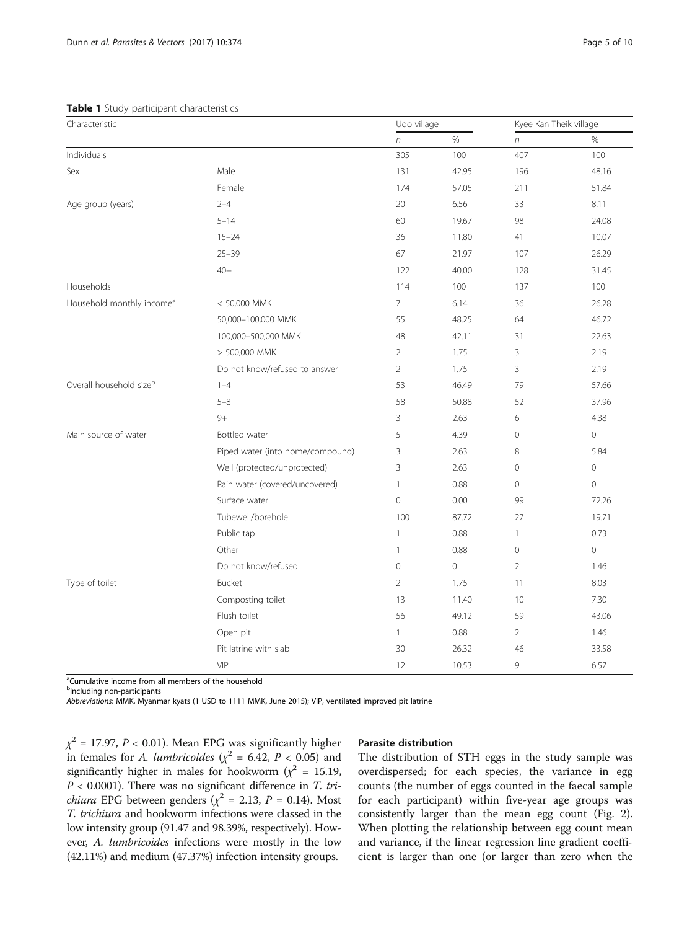### <span id="page-4-0"></span>Table 1 Study participant characteristics

| Characteristic                        |                                  | Udo village      |       | Kyee Kan Theik village |                     |
|---------------------------------------|----------------------------------|------------------|-------|------------------------|---------------------|
|                                       |                                  | $\boldsymbol{n}$ | $\%$  | $\eta$                 | $\%$                |
| Individuals                           |                                  | 305              | 100   | 407                    | 100                 |
| Sex                                   | Male                             | 131              | 42.95 | 196                    | 48.16               |
|                                       | Female                           | 174              | 57.05 | 211                    | 51.84               |
| Age group (years)                     | $2 - 4$                          | 20               | 6.56  | 33                     | 8.11                |
|                                       | $5 - 14$                         | 60               | 19.67 | 98                     | 24.08               |
|                                       | $15 - 24$                        | 36               | 11.80 | 41                     | 10.07               |
|                                       | $25 - 39$                        | 67               | 21.97 | 107                    | 26.29               |
|                                       | $40+$                            | 122              | 40.00 | 128                    | 31.45               |
| Households                            |                                  | 114              | 100   | 137                    | 100                 |
| Household monthly income <sup>a</sup> | $< 50,000$ MMK                   | $\overline{7}$   | 6.14  | 36                     | 26.28               |
|                                       | 50,000-100,000 MMK               | 55               | 48.25 | 64                     | 46.72               |
|                                       | 100,000-500,000 MMK              | 48               | 42.11 | 31                     | 22.63               |
|                                       | > 500,000 MMK                    | $\overline{2}$   | 1.75  | 3                      | 2.19                |
|                                       | Do not know/refused to answer    | $\overline{2}$   | 1.75  | 3                      | 2.19                |
| Overall household sizeb               | $1 - 4$                          | 53               | 46.49 | 79                     | 57.66               |
|                                       | $5 - 8$                          | 58               | 50.88 | 52                     | 37.96               |
|                                       | $9+$                             | 3                | 2.63  | 6                      | 4.38                |
| Main source of water                  | Bottled water                    | 5                | 4.39  | $\overline{0}$         | $\mathsf{O}\xspace$ |
|                                       | Piped water (into home/compound) | 3                | 2.63  | 8                      | 5.84                |
|                                       | Well (protected/unprotected)     | 3                | 2.63  | $\circ$                | $\mathsf{O}\xspace$ |
|                                       | Rain water (covered/uncovered)   | $\mathbb{1}$     | 0.88  | $\circ$                | $\mathbf 0$         |
|                                       | Surface water                    | $\mathbf 0$      | 0.00  | 99                     | 72.26               |
|                                       | Tubewell/borehole                | 100              | 87.72 | 27                     | 19.71               |
|                                       | Public tap                       | 1                | 0.88  | $\mathbf{1}$           | 0.73                |
|                                       | Other                            | $\mathbf{1}$     | 0.88  | $\circ$                | $\mathbf 0$         |
|                                       | Do not know/refused              | $\overline{0}$   | 0     | 2                      | 1.46                |
| Type of toilet                        | <b>Bucket</b>                    | $\overline{2}$   | 1.75  | 11                     | 8.03                |
|                                       | Composting toilet                | 13               | 11.40 | 10                     | 7.30                |
|                                       | Flush toilet                     | 56               | 49.12 | 59                     | 43.06               |
|                                       | Open pit                         | $\mathbf{1}$     | 0.88  | $\overline{2}$         | 1.46                |
|                                       | Pit latrine with slab            | 30               | 26.32 | 46                     | 33.58               |
|                                       | VIP                              | 12               | 10.53 | $\mathsf{Q}$           | 6.57                |

<sup>a</sup>Cumulative income from all members of the household

<sup>b</sup>Including non-participants

Abbreviations: MMK, Myanmar kyats (1 USD to 1111 MMK, June 2015); VIP, ventilated improved pit latrine

 $\chi^2$  = 17.97, P < 0.01). Mean EPG was significantly higher in females for A. lumbricoides ( $\chi^2$  = 6.42, P < 0.05) and significantly higher in males for hookworm ( $\chi^2 = 15.19$ ,  $P < 0.0001$ ). There was no significant difference in T. tri*chiura* EPG between genders ( $\chi^2$  = 2.13, P = 0.14). Most T. trichiura and hookworm infections were classed in the low intensity group (91.47 and 98.39%, respectively). However, A. lumbricoides infections were mostly in the low (42.11%) and medium (47.37%) infection intensity groups.

## Parasite distribution

The distribution of STH eggs in the study sample was overdispersed; for each species, the variance in egg counts (the number of eggs counted in the faecal sample for each participant) within five-year age groups was consistently larger than the mean egg count (Fig. [2](#page-6-0)). When plotting the relationship between egg count mean and variance, if the linear regression line gradient coefficient is larger than one (or larger than zero when the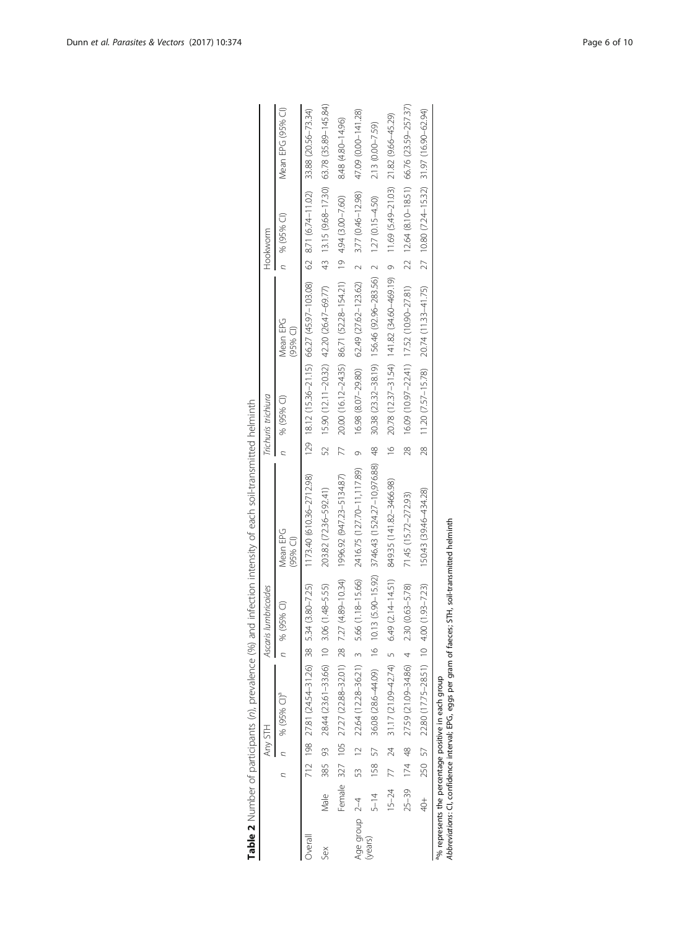|                       |              |   | Any STH        |                                                                 | Ascaris lumbricoides                                                                                 |                                                                                  |                | Trichuris trichiura |                                                                                       | Hookworm     |                     |
|-----------------------|--------------|---|----------------|-----------------------------------------------------------------|------------------------------------------------------------------------------------------------------|----------------------------------------------------------------------------------|----------------|---------------------|---------------------------------------------------------------------------------------|--------------|---------------------|
|                       |              | C | $\overline{a}$ | % (95% CI) <sup>a</sup>                                         | 95% CI)<br>$n \approx 0$                                                                             | Mean EPG<br>$(95%$ CI)                                                           | $\overline{a}$ | % (95% CI)          | Mean EPG<br>$(95%$ CI)                                                                | n % (95% Cl) | Mean EPG (95% CI)   |
| <b>Overall</b>        |              |   |                | 712 198 27.81 (24.54-31.26) 38 5.34 (3.80-7.25)                 |                                                                                                      | 1173.40 (610.36-2712.98)                                                         |                |                     | 129 18.12 (15.36-21.15) 66.27 (45.97-103.08) 62 8.71 (6.74-11.02)                     |              | 33.88 (20.56-73.34) |
| Sex                   | Male         |   |                | 385 93 28.44 (23.61-33.66) 10 3.06 (1.48-5.55)                  |                                                                                                      | 203.82 (72.36-592.41)                                                            |                |                     | 52 15.90 (12.11-20.32) 42.20 (26.47-69.77) 43 13.15 (9.68-17.30) 63.78 (35.89-145.84) |              |                     |
|                       |              |   |                |                                                                 |                                                                                                      | Female 327 105 27.27 (22.88-32.01) 28 7.27 (4.89-10.34) 1996.92 (947.23-5134.87) |                |                     | 77 20.00 (16.12-24.35) 86.71 (52.28-154.21) 19 4.94 (3.00-7.60)                       |              | 8.48 (4.80-14.96)   |
| Age group $2-4$ 53 12 |              |   |                | 22.64 (12.28-36.21) 3 5.66 (1.18-15.66)                         |                                                                                                      | 2416.75 (127.70-11,117.89)                                                       | $\circ$        |                     | 16.98 (8.07-29.80) 62.49 (27.62-123.62) 2 3.77 (0.46-12.98)                           |              | 47.09 (0.00-141.28) |
| (years)               | 5-14 158 57  |   |                |                                                                 |                                                                                                      | 36.08 (28.6-44.09) 16 10.13 (5.90-15.92) 3746.43 (1524.27-10,976.88) 48          |                |                     | 30.38 (23.32-38.19) 156.46 (92.96-283.56) 2 1.27 (0.15-4.50)                          |              | 2.13 (0.00-7.59)    |
|                       |              |   |                |                                                                 | $5-24$ 77 24 31.17 (21.09-42.74) 5 6.49 (2.14-14.51)                                                 | 849.35 (141.82-3466.98)                                                          | $\frac{1}{2}$  |                     | 20.78 (12.37-31.54) 141.82 (34.60-469.19) 9 11.69 (5.49-21.03) 21.82 (9.66-45.29)     |              |                     |
|                       | 25-39 174 48 |   |                | 27.59 (21.09-34.86) 4 2.30 (0.63-5.78)                          |                                                                                                      | 71.45 (15.72-272.93)                                                             |                |                     | 28 16.09 (10.97-22.41) 17.52 (10.90-27.81) 22 12.64 (8.10-18.51) 66.76 (23.59-257.37) |              |                     |
|                       |              |   |                |                                                                 |                                                                                                      | 40+ 250 57 22.80 (17.75-28.51) 10 4.00 (1.93-7.23) 150.43 (39.46-434.28)         |                |                     | 28 11.20 (7.57-15.78) 20.74 (11.33 -41.75) 27 10.80 (7.24-15.32) 31.97 (16.90-62.94)  |              |                     |
|                       |              |   |                | <sup>a</sup> % represents the percentage positive in each group | Abbreviations: CI, confidence interval; EPG, eggs per gram of faeces; STH, soil-transmitted helminth |                                                                                  |                |                     |                                                                                       |              |                     |
|                       |              |   |                |                                                                 |                                                                                                      |                                                                                  |                |                     |                                                                                       |              |                     |
|                       |              |   |                |                                                                 |                                                                                                      |                                                                                  |                |                     |                                                                                       |              |                     |
|                       |              |   |                |                                                                 |                                                                                                      |                                                                                  |                |                     |                                                                                       |              |                     |
|                       |              |   |                |                                                                 |                                                                                                      |                                                                                  |                |                     |                                                                                       |              |                     |

| $\overline{\phantom{a}}$ |
|--------------------------|
| ֚֕֡֡֡֡֡֡֡                |
| ï                        |
| ţ                        |
|                          |
|                          |
| $\bar{5}$                |
| ١<br>l                   |
| $\overline{ }$<br>Ś<br>ţ |
| j                        |
|                          |
| i                        |
| I                        |
|                          |
|                          |
| $\frac{1}{2}$            |
| j<br>۱                   |
|                          |
| Ī<br>۶<br>ļ              |
| i<br>ć<br>١              |
| .<br>.                   |
| )<br>)                   |
| 1                        |
|                          |
| i<br>Ś                   |
|                          |
| ļ                        |
| İ                        |
| Ï<br>١                   |
|                          |
| j<br>i<br>ļ              |
|                          |
| )<br>1                   |
| $\frac{1}{2}$<br>¢       |
|                          |
| $\frac{5}{1}$<br>Z       |
| ľ<br> <br>               |
| ale<br>R                 |
| ñ                        |

<span id="page-5-0"></span>Dunn et al. Parasites & Vectors (2017) 10:374 Page 6 of 10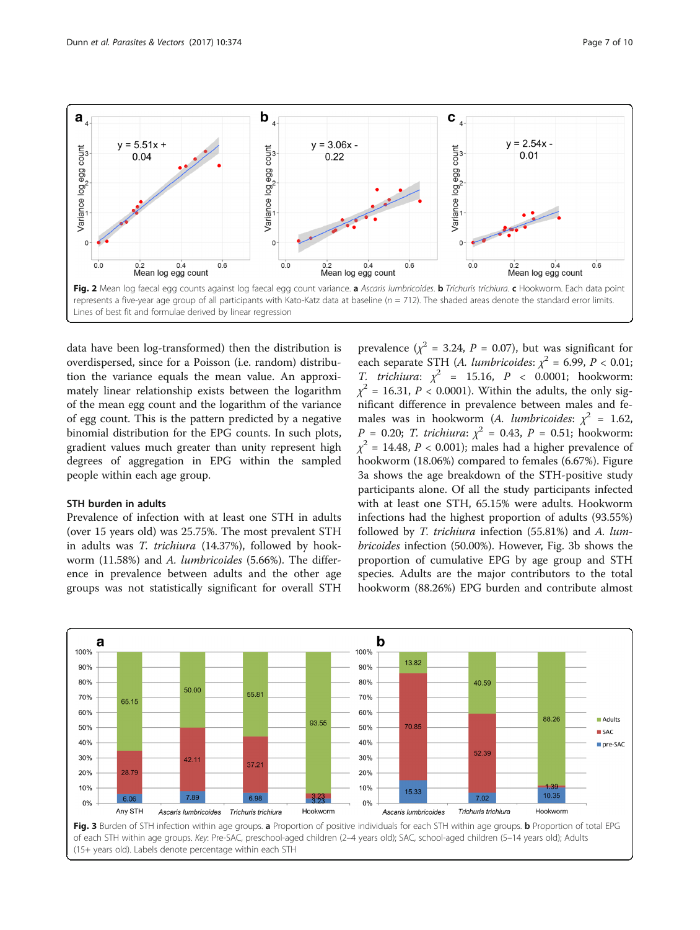<span id="page-6-0"></span>

data have been log-transformed) then the distribution is overdispersed, since for a Poisson (i.e. random) distribution the variance equals the mean value. An approximately linear relationship exists between the logarithm of the mean egg count and the logarithm of the variance of egg count. This is the pattern predicted by a negative binomial distribution for the EPG counts. In such plots, gradient values much greater than unity represent high degrees of aggregation in EPG within the sampled people within each age group.

## STH burden in adults

Prevalence of infection with at least one STH in adults (over 15 years old) was 25.75%. The most prevalent STH in adults was T. trichiura (14.37%), followed by hookworm (11.58%) and A. lumbricoides (5.66%). The difference in prevalence between adults and the other age groups was not statistically significant for overall STH

prevalence ( $\chi^2$  = 3.24, P = 0.07), but was significant for each separate STH (A. lumbricoides:  $\chi^2$  = 6.99, P < 0.01; T. trichiura:  $\chi^2$  = 15.16, P < 0.0001; hookworm:  $\chi^2$  = 16.31, P < 0.0001). Within the adults, the only significant difference in prevalence between males and females was in hookworm (A. lumbricoides:  $\chi^2 = 1.62$ ,  $P = 0.20$ ; T. trichiura:  $\chi^2 = 0.43$ ,  $P = 0.51$ ; hookworm:  $\chi^2$  = 14.48, P < 0.001); males had a higher prevalence of hookworm (18.06%) compared to females (6.67%). Figure 3a shows the age breakdown of the STH-positive study participants alone. Of all the study participants infected with at least one STH, 65.15% were adults. Hookworm infections had the highest proportion of adults (93.55%) followed by T. trichiura infection (55.81%) and A. lumbricoides infection (50.00%). However, Fig. 3b shows the proportion of cumulative EPG by age group and STH species. Adults are the major contributors to the total hookworm (88.26%) EPG burden and contribute almost

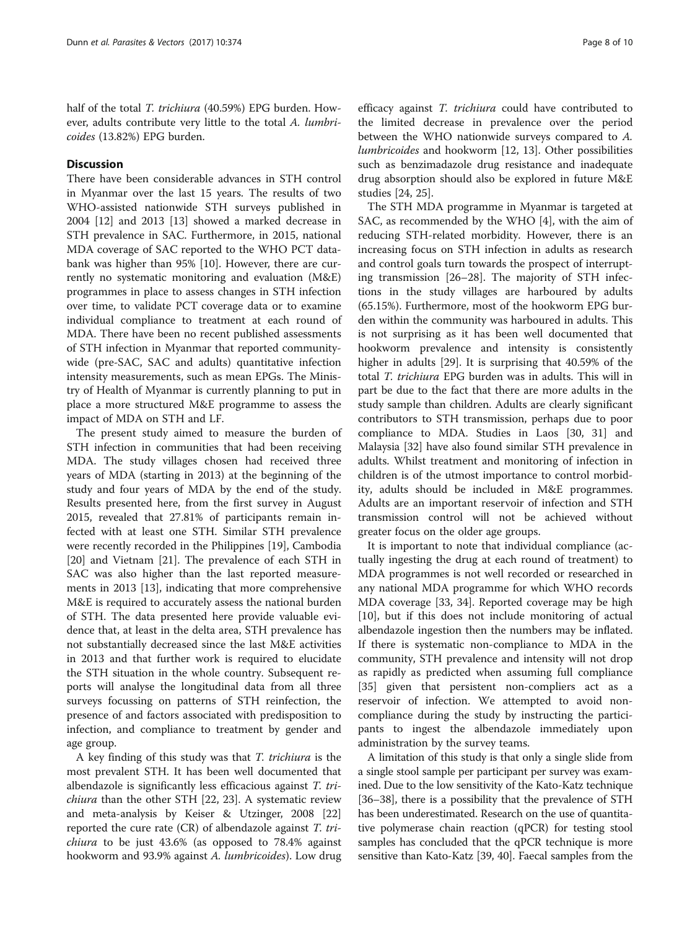half of the total T. trichiura (40.59%) EPG burden. However, adults contribute very little to the total A. lumbricoides (13.82%) EPG burden.

## **Discussion**

There have been considerable advances in STH control in Myanmar over the last 15 years. The results of two WHO-assisted nationwide STH surveys published in 2004 [[12\]](#page-9-0) and 2013 [\[13](#page-9-0)] showed a marked decrease in STH prevalence in SAC. Furthermore, in 2015, national MDA coverage of SAC reported to the WHO PCT databank was higher than 95% [\[10\]](#page-9-0). However, there are currently no systematic monitoring and evaluation (M&E) programmes in place to assess changes in STH infection over time, to validate PCT coverage data or to examine individual compliance to treatment at each round of MDA. There have been no recent published assessments of STH infection in Myanmar that reported communitywide (pre-SAC, SAC and adults) quantitative infection intensity measurements, such as mean EPGs. The Ministry of Health of Myanmar is currently planning to put in place a more structured M&E programme to assess the impact of MDA on STH and LF.

The present study aimed to measure the burden of STH infection in communities that had been receiving MDA. The study villages chosen had received three years of MDA (starting in 2013) at the beginning of the study and four years of MDA by the end of the study. Results presented here, from the first survey in August 2015, revealed that 27.81% of participants remain infected with at least one STH. Similar STH prevalence were recently recorded in the Philippines [[19\]](#page-9-0), Cambodia [[20\]](#page-9-0) and Vietnam [\[21\]](#page-9-0). The prevalence of each STH in SAC was also higher than the last reported measurements in 2013 [[13](#page-9-0)], indicating that more comprehensive M&E is required to accurately assess the national burden of STH. The data presented here provide valuable evidence that, at least in the delta area, STH prevalence has not substantially decreased since the last M&E activities in 2013 and that further work is required to elucidate the STH situation in the whole country. Subsequent reports will analyse the longitudinal data from all three surveys focussing on patterns of STH reinfection, the presence of and factors associated with predisposition to infection, and compliance to treatment by gender and age group.

A key finding of this study was that T. trichiura is the most prevalent STH. It has been well documented that albendazole is significantly less efficacious against T. trichiura than the other STH [[22](#page-9-0), [23\]](#page-9-0). A systematic review and meta-analysis by Keiser & Utzinger, 2008 [[22](#page-9-0)] reported the cure rate (CR) of albendazole against T. trichiura to be just 43.6% (as opposed to 78.4% against hookworm and 93.9% against A. lumbricoides). Low drug efficacy against T. trichiura could have contributed to the limited decrease in prevalence over the period between the WHO nationwide surveys compared to A. lumbricoides and hookworm [[12](#page-9-0), [13\]](#page-9-0). Other possibilities such as benzimadazole drug resistance and inadequate drug absorption should also be explored in future M&E studies [\[24, 25\]](#page-9-0).

The STH MDA programme in Myanmar is targeted at SAC, as recommended by the WHO [[4\]](#page-9-0), with the aim of reducing STH-related morbidity. However, there is an increasing focus on STH infection in adults as research and control goals turn towards the prospect of interrupting transmission [\[26](#page-9-0)–[28\]](#page-9-0). The majority of STH infections in the study villages are harboured by adults (65.15%). Furthermore, most of the hookworm EPG burden within the community was harboured in adults. This is not surprising as it has been well documented that hookworm prevalence and intensity is consistently higher in adults [[29\]](#page-9-0). It is surprising that 40.59% of the total T. trichiura EPG burden was in adults. This will in part be due to the fact that there are more adults in the study sample than children. Adults are clearly significant contributors to STH transmission, perhaps due to poor compliance to MDA. Studies in Laos [\[30, 31\]](#page-9-0) and Malaysia [[32](#page-9-0)] have also found similar STH prevalence in adults. Whilst treatment and monitoring of infection in children is of the utmost importance to control morbidity, adults should be included in M&E programmes. Adults are an important reservoir of infection and STH transmission control will not be achieved without greater focus on the older age groups.

It is important to note that individual compliance (actually ingesting the drug at each round of treatment) to MDA programmes is not well recorded or researched in any national MDA programme for which WHO records MDA coverage [\[33](#page-9-0), [34\]](#page-9-0). Reported coverage may be high [[10\]](#page-9-0), but if this does not include monitoring of actual albendazole ingestion then the numbers may be inflated. If there is systematic non-compliance to MDA in the community, STH prevalence and intensity will not drop as rapidly as predicted when assuming full compliance [[35\]](#page-9-0) given that persistent non-compliers act as a reservoir of infection. We attempted to avoid noncompliance during the study by instructing the participants to ingest the albendazole immediately upon administration by the survey teams.

A limitation of this study is that only a single slide from a single stool sample per participant per survey was examined. Due to the low sensitivity of the Kato-Katz technique [[36](#page-9-0)–[38\]](#page-9-0), there is a possibility that the prevalence of STH has been underestimated. Research on the use of quantitative polymerase chain reaction (qPCR) for testing stool samples has concluded that the qPCR technique is more sensitive than Kato-Katz [[39](#page-9-0), [40](#page-9-0)]. Faecal samples from the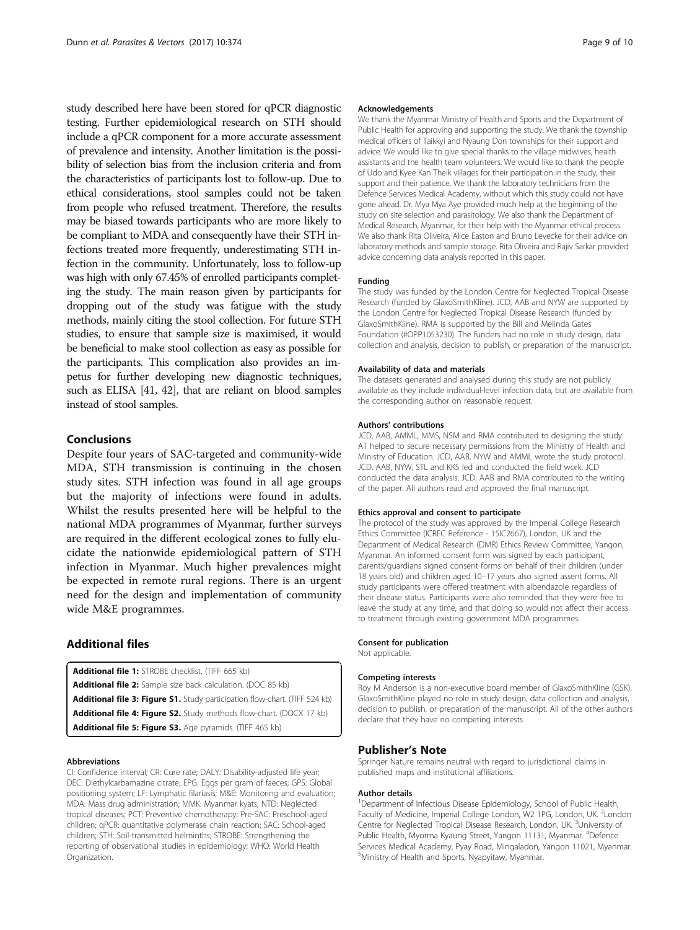<span id="page-8-0"></span>study described here have been stored for qPCR diagnostic testing. Further epidemiological research on STH should include a qPCR component for a more accurate assessment of prevalence and intensity. Another limitation is the possibility of selection bias from the inclusion criteria and from the characteristics of participants lost to follow-up. Due to ethical considerations, stool samples could not be taken from people who refused treatment. Therefore, the results may be biased towards participants who are more likely to be compliant to MDA and consequently have their STH infections treated more frequently, underestimating STH infection in the community. Unfortunately, loss to follow-up was high with only 67.45% of enrolled participants completing the study. The main reason given by participants for dropping out of the study was fatigue with the study methods, mainly citing the stool collection. For future STH studies, to ensure that sample size is maximised, it would be beneficial to make stool collection as easy as possible for the participants. This complication also provides an impetus for further developing new diagnostic techniques, such as ELISA [\[41, 42](#page-9-0)], that are reliant on blood samples instead of stool samples.

## Conclusions

Despite four years of SAC-targeted and community-wide MDA, STH transmission is continuing in the chosen study sites. STH infection was found in all age groups but the majority of infections were found in adults. Whilst the results presented here will be helpful to the national MDA programmes of Myanmar, further surveys are required in the different ecological zones to fully elucidate the nationwide epidemiological pattern of STH infection in Myanmar. Much higher prevalences might be expected in remote rural regions. There is an urgent need for the design and implementation of community wide M&E programmes.

## Additional files

[Additional file 1:](dx.doi.org/10.1186/s13071-017-2306-2) STROBE checklist. (TIFF 665 kb) [Additional file 2:](dx.doi.org/10.1186/s13071-017-2306-2) Sample size back calculation. (DOC 85 kb) [Additional file 3: Figure S1.](dx.doi.org/10.1186/s13071-017-2306-2) Study participation flow-chart. (TIFF 524 kb) [Additional file 4: Figure S2.](dx.doi.org/10.1186/s13071-017-2306-2) Study methods flow-chart. (DOCX 17 kb) [Additional file 5: Figure S3.](dx.doi.org/10.1186/s13071-017-2306-2) Age pyramids. (TIFF 465 kb)

#### Abbreviations

CI: Confidence interval; CR: Cure rate; DALY: Disability-adjusted life year; DEC: Diethylcarbamazine citrate; EPG: Eggs per gram of faeces; GPS: Global positioning system; LF: Lymphatic filariasis; M&E: Monitoring and evaluation; MDA: Mass drug administration; MMK: Myanmar kyats; NTD: Neglected tropical diseases; PCT: Preventive chemotherapy; Pre-SAC: Preschool-aged children; qPCR: quantitative polymerase chain reaction; SAC: School-aged children; STH: Soil-transmitted helminths; STROBE: Strengthening the reporting of observational studies in epidemiology; WHO: World Health Organization.

#### Acknowledgements

We thank the Myanmar Ministry of Health and Sports and the Department of Public Health for approving and supporting the study. We thank the township medical officers of Taikkyi and Nyaung Don townships for their support and advice. We would like to give special thanks to the village midwives, health assistants and the health team volunteers. We would like to thank the people of Udo and Kyee Kan Theik villages for their participation in the study, their support and their patience. We thank the laboratory technicians from the Defence Services Medical Academy, without which this study could not have gone ahead. Dr. Mya Mya Aye provided much help at the beginning of the study on site selection and parasitology. We also thank the Department of Medical Research, Myanmar, for their help with the Myanmar ethical process. We also thank Rita Oliveira, Alice Easton and Bruno Levecke for their advice on laboratory methods and sample storage. Rita Oliveira and Rajiv Sarkar provided advice concerning data analysis reported in this paper.

#### Funding

The study was funded by the London Centre for Neglected Tropical Disease Research (funded by GlaxoSmithKline). JCD, AAB and NYW are supported by the London Centre for Neglected Tropical Disease Research (funded by GlaxoSmithKline). RMA is supported by the Bill and Melinda Gates Foundation (#OPP1053230). The funders had no role in study design, data collection and analysis, decision to publish, or preparation of the manuscript.

#### Availability of data and materials

The datasets generated and analysed during this study are not publicly available as they include individual-level infection data, but are available from the corresponding author on reasonable request.

#### Authors' contributions

JCD, AAB, AMML, MMS, NSM and RMA contributed to designing the study. AT helped to secure necessary permissions from the Ministry of Health and Ministry of Education. JCD, AAB, NYW and AMML wrote the study protocol. JCD, AAB, NYW, STL and KKS led and conducted the field work. JCD conducted the data analysis. JCD, AAB and RMA contributed to the writing of the paper. All authors read and approved the final manuscript.

### Ethics approval and consent to participate

The protocol of the study was approved by the Imperial College Research Ethics Committee (ICREC Reference - 15IC2667), London, UK and the Department of Medical Research (DMR) Ethics Review Committee, Yangon, Myanmar. An informed consent form was signed by each participant, parents/guardians signed consent forms on behalf of their children (under 18 years old) and children aged 10–17 years also signed assent forms. All study participants were offered treatment with albendazole regardless of their disease status. Participants were also reminded that they were free to leave the study at any time, and that doing so would not affect their access to treatment through existing government MDA programmes.

#### Consent for publication

Not applicable.

#### Competing interests

Roy M Anderson is a non-executive board member of GlaxoSmithKline (GSK). GlaxoSmithKline played no role in study design, data collection and analysis, decision to publish, or preparation of the manuscript. All of the other authors declare that they have no competing interests.

#### Publisher's Note

Springer Nature remains neutral with regard to jurisdictional claims in published maps and institutional affiliations.

#### Author details

<sup>1</sup>Department of Infectious Disease Epidemiology, School of Public Health Faculty of Medicine, Imperial College London, W2 1PG, London, UK. <sup>2</sup>London Centre for Neglected Tropical Disease Research, London, UK. <sup>3</sup>University of Public Health, Myorma Kyaung Street, Yangon 11131, Myanmar. <sup>4</sup>Defence Services Medical Academy, Pyay Road, Mingaladon, Yangon 11021, Myanmar. 5 Ministry of Health and Sports, Nyapyitaw, Myanmar.